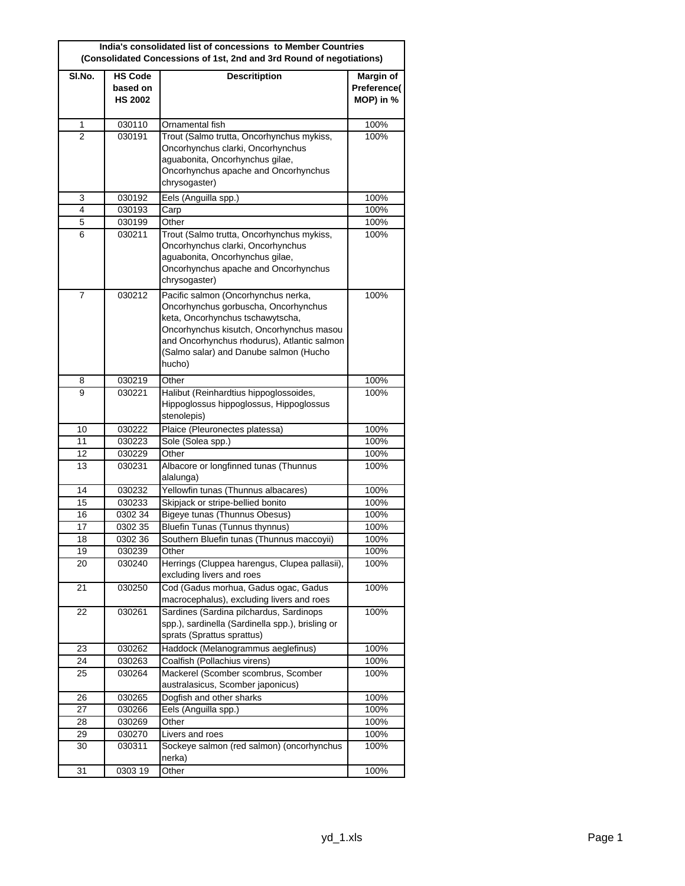| India's consolidated list of concessions to Member Countries<br>(Consolidated Concessions of 1st, 2nd and 3rd Round of negotiations) |                                              |                                                                                                                                                                                                                                                                |                                       |
|--------------------------------------------------------------------------------------------------------------------------------------|----------------------------------------------|----------------------------------------------------------------------------------------------------------------------------------------------------------------------------------------------------------------------------------------------------------------|---------------------------------------|
| SI.No.                                                                                                                               | <b>HS Code</b><br>based on<br><b>HS 2002</b> | <b>Descritiption</b>                                                                                                                                                                                                                                           | Margin of<br>Preference(<br>MOP) in % |
| 1                                                                                                                                    | 030110                                       | Ornamental fish                                                                                                                                                                                                                                                | 100%                                  |
| 2                                                                                                                                    | 030191                                       | Trout (Salmo trutta, Oncorhynchus mykiss,<br>Oncorhynchus clarki, Oncorhynchus<br>aguabonita, Oncorhynchus gilae,<br>Oncorhynchus apache and Oncorhynchus<br>chrysogaster)                                                                                     | 100%                                  |
| 3                                                                                                                                    | 030192                                       | Eels (Anguilla spp.)                                                                                                                                                                                                                                           | 100%                                  |
| 4                                                                                                                                    | 030193                                       | Carp                                                                                                                                                                                                                                                           | 100%                                  |
| 5                                                                                                                                    | 030199                                       | Other                                                                                                                                                                                                                                                          | 100%                                  |
| 6                                                                                                                                    | 030211                                       | Trout (Salmo trutta, Oncorhynchus mykiss,<br>Oncorhynchus clarki, Oncorhynchus<br>aguabonita, Oncorhynchus gilae,<br>Oncorhynchus apache and Oncorhynchus<br>chrysogaster)                                                                                     | 100%                                  |
| 7                                                                                                                                    | 030212                                       | Pacific salmon (Oncorhynchus nerka,<br>Oncorhynchus gorbuscha, Oncorhynchus<br>keta, Oncorhynchus tschawytscha,<br>Oncorhynchus kisutch, Oncorhynchus masou<br>and Oncorhynchus rhodurus), Atlantic salmon<br>(Salmo salar) and Danube salmon (Hucho<br>hucho) | 100%                                  |
| 8                                                                                                                                    | 030219                                       | Other                                                                                                                                                                                                                                                          | 100%                                  |
| 9                                                                                                                                    | 030221                                       | Halibut (Reinhardtius hippoglossoides,<br>Hippoglossus hippoglossus, Hippoglossus<br>stenolepis)                                                                                                                                                               | 100%                                  |
| 10                                                                                                                                   | 030222                                       | Plaice (Pleuronectes platessa)                                                                                                                                                                                                                                 | 100%                                  |
| 11                                                                                                                                   | 030223                                       | Sole (Solea spp.)                                                                                                                                                                                                                                              | 100%                                  |
| 12                                                                                                                                   | 030229                                       | Other                                                                                                                                                                                                                                                          | 100%                                  |
| 13                                                                                                                                   | 030231                                       | Albacore or longfinned tunas (Thunnus<br>alalunga)                                                                                                                                                                                                             | 100%                                  |
| 14                                                                                                                                   | 030232                                       | Yellowfin tunas (Thunnus albacares)                                                                                                                                                                                                                            | 100%                                  |
| 15                                                                                                                                   | 030233                                       | Skipjack or stripe-bellied bonito                                                                                                                                                                                                                              | 100%                                  |
| 16                                                                                                                                   | 0302 34                                      | Bigeye tunas (Thunnus Obesus)                                                                                                                                                                                                                                  | 100%                                  |
| 17                                                                                                                                   | 0302 35                                      | Bluefin Tunas (Tunnus thynnus)                                                                                                                                                                                                                                 | 100%                                  |
| 18                                                                                                                                   | 030236                                       | Southern Bluefin tunas (Thunnus maccoyii)                                                                                                                                                                                                                      | 100%                                  |
| 19                                                                                                                                   | 030239                                       | Other                                                                                                                                                                                                                                                          | 100%                                  |
| 20                                                                                                                                   | 030240                                       | Herrings (Cluppea harengus, Clupea pallasii),<br>excluding livers and roes                                                                                                                                                                                     | 100%                                  |
| 21                                                                                                                                   | 030250                                       | Cod (Gadus morhua, Gadus ogac, Gadus<br>macrocephalus), excluding livers and roes                                                                                                                                                                              | 100%                                  |
| 22                                                                                                                                   | 030261                                       | Sardines (Sardina pilchardus, Sardinops<br>spp.), sardinella (Sardinella spp.), brisling or<br>sprats (Sprattus sprattus)                                                                                                                                      | 100%                                  |
| 23                                                                                                                                   | 030262                                       | Haddock (Melanogrammus aeglefinus)                                                                                                                                                                                                                             | 100%                                  |
| 24                                                                                                                                   | 030263                                       | Coalfish (Pollachius virens)                                                                                                                                                                                                                                   | 100%                                  |
| 25                                                                                                                                   | 030264                                       | Mackerel (Scomber scombrus, Scomber<br>australasicus, Scomber japonicus)                                                                                                                                                                                       | 100%                                  |
| 26                                                                                                                                   | 030265                                       | Dogfish and other sharks                                                                                                                                                                                                                                       | 100%                                  |
| 27                                                                                                                                   | 030266                                       | Eels (Anguilla spp.)                                                                                                                                                                                                                                           | 100%                                  |
| 28                                                                                                                                   | 030269                                       | Other                                                                                                                                                                                                                                                          | 100%                                  |
| 29                                                                                                                                   | 030270                                       | Livers and roes                                                                                                                                                                                                                                                | 100%                                  |
| 30                                                                                                                                   | 030311                                       | Sockeye salmon (red salmon) (oncorhynchus<br>nerka)                                                                                                                                                                                                            | 100%                                  |
| 31                                                                                                                                   | 0303 19                                      | Other                                                                                                                                                                                                                                                          | 100%                                  |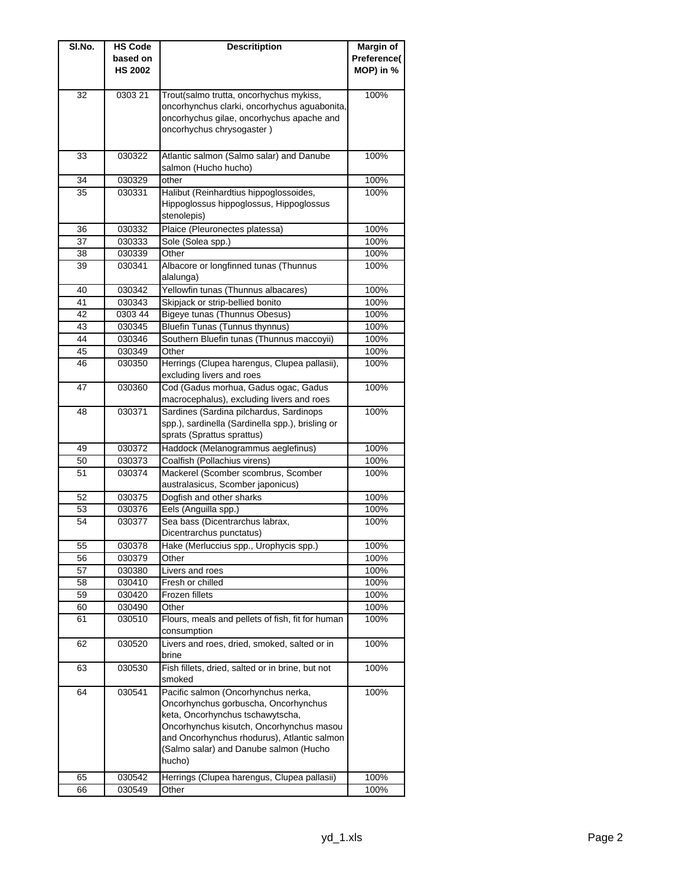| SI.No. | <b>HS Code</b>             | <b>Descritiption</b>                                                              | Margin of   |
|--------|----------------------------|-----------------------------------------------------------------------------------|-------------|
|        | based on<br><b>HS 2002</b> |                                                                                   | Preference( |
|        |                            |                                                                                   | MOP) in %   |
| 32     | 0303 21                    | Trout(salmo trutta, oncorhychus mykiss,                                           | 100%        |
|        |                            | oncorhynchus clarki, oncorhychus aguabonita,                                      |             |
|        |                            | oncorhychus gilae, oncorhychus apache and                                         |             |
|        |                            | oncorhychus chrysogaster)                                                         |             |
|        |                            |                                                                                   |             |
| 33     | 030322                     | Atlantic salmon (Salmo salar) and Danube<br>salmon (Hucho hucho)                  | 100%        |
| 34     | 030329                     | other                                                                             | 100%        |
| 35     | 030331                     | Halibut (Reinhardtius hippoglossoides,                                            | 100%        |
|        |                            | Hippoglossus hippoglossus, Hippoglossus<br>stenolepis)                            |             |
| 36     | 030332                     | Plaice (Pleuronectes platessa)                                                    | 100%        |
| 37     | 030333                     | Sole (Solea spp.)                                                                 | 100%        |
| 38     | 030339                     | Other                                                                             | 100%        |
| 39     | 030341                     | Albacore or longfinned tunas (Thunnus<br>alalunga)                                | 100%        |
| 40     | 030342                     | Yellowfin tunas (Thunnus albacares)                                               | 100%        |
| 41     | 030343                     | Skipjack or strip-bellied bonito                                                  | 100%        |
| 42     | 0303 44                    | <b>Bigeye tunas (Thunnus Obesus)</b>                                              | 100%        |
| 43     | 030345                     | Bluefin Tunas (Tunnus thynnus)                                                    | 100%        |
| 44     | 030346                     | Southern Bluefin tunas (Thunnus maccoyii)                                         | 100%        |
| 45     | 030349                     | Other                                                                             | 100%        |
| 46     | 030350                     | Herrings (Clupea harengus, Clupea pallasii),<br>excluding livers and roes         | 100%        |
| 47     | 030360                     | Cod (Gadus morhua, Gadus ogac, Gadus<br>macrocephalus), excluding livers and roes | 100%        |
| 48     | 030371                     | Sardines (Sardina pilchardus, Sardinops                                           | 100%        |
|        |                            | spp.), sardinella (Sardinella spp.), brisling or<br>sprats (Sprattus sprattus)    |             |
| 49     | 030372                     | Haddock (Melanogrammus aeglefinus)                                                | 100%        |
| 50     | 030373                     | Coalfish (Pollachius virens)                                                      | 100%        |
| 51     | 030374                     | Mackerel (Scomber scombrus, Scomber                                               | 100%        |
|        |                            | australasicus, Scomber japonicus)                                                 |             |
| 52     | 030375                     | Dogfish and other sharks                                                          | 100%        |
| 53     | 030376                     | Eels (Anguilla spp.)                                                              | 100%        |
| 54     | 030377                     | Sea bass (Dicentrarchus labrax,<br>Dicentrarchus punctatus)                       | 100%        |
| 55     | 030378                     | Hake (Merluccius spp., Urophycis spp.)                                            | 100%        |
| 56     | 030379                     | Other                                                                             | 100%        |
| 57     | 030380                     | Livers and roes                                                                   | 100%        |
| 58     | 030410                     | Fresh or chilled                                                                  | 100%        |
| 59     | 030420                     | Frozen fillets                                                                    | 100%        |
| 60     | 030490                     | Other                                                                             | 100%        |
| 61     | 030510                     | Flours, meals and pellets of fish, fit for human<br>consumption                   | 100%        |
| 62     | 030520                     | Livers and roes, dried, smoked, salted or in<br>brine                             | 100%        |
| 63     | 030530                     | Fish fillets, dried, salted or in brine, but not<br>smoked                        | 100%        |
| 64     | 030541                     | Pacific salmon (Oncorhynchus nerka,                                               | 100%        |
|        |                            | Oncorhynchus gorbuscha, Oncorhynchus                                              |             |
|        |                            | keta, Oncorhynchus tschawytscha,                                                  |             |
|        |                            | Oncorhynchus kisutch, Oncorhynchus masou                                          |             |
|        |                            | and Oncorhynchus rhodurus), Atlantic salmon                                       |             |
|        |                            | (Salmo salar) and Danube salmon (Hucho                                            |             |
|        |                            | hucho)                                                                            |             |
| 65     | 030542                     | Herrings (Clupea harengus, Clupea pallasii)                                       | 100%        |
| 66     | 030549                     | Other                                                                             | 100%        |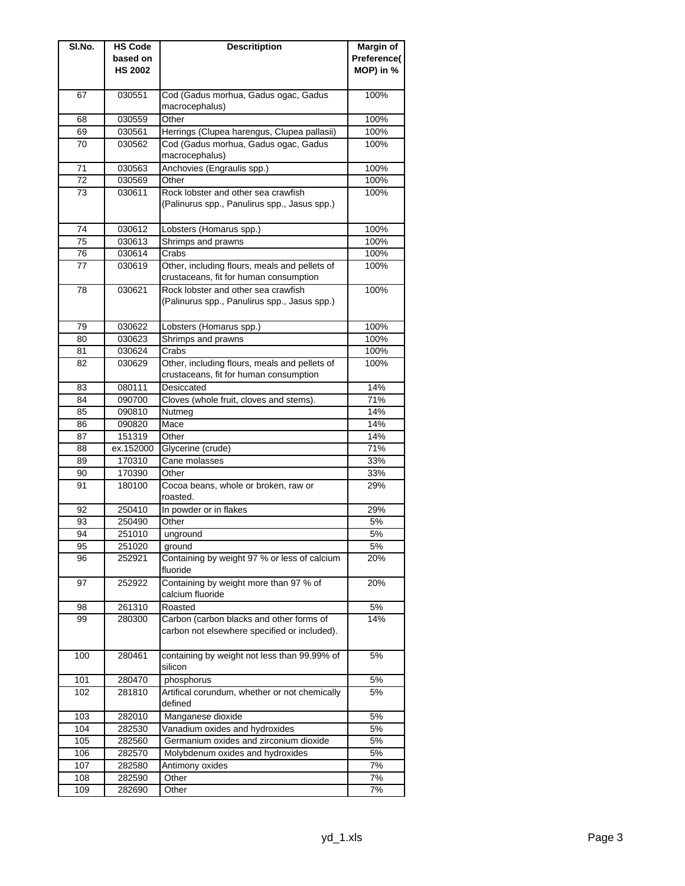| SI.No. | <b>HS Code</b>             | <b>Descritiption</b>                                                                     | <b>Margin of</b>         |
|--------|----------------------------|------------------------------------------------------------------------------------------|--------------------------|
|        | based on<br><b>HS 2002</b> |                                                                                          | Preference(<br>MOP) in % |
| 67     | 030551                     | Cod (Gadus morhua, Gadus ogac, Gadus<br>macrocephalus)                                   | 100%                     |
| 68     | 030559                     | Other                                                                                    | 100%                     |
| 69     | 030561                     | Herrings (Clupea harengus, Clupea pallasii)                                              | 100%                     |
| 70     | 030562                     | Cod (Gadus morhua, Gadus ogac, Gadus<br>macrocephalus)                                   | 100%                     |
| 71     | 030563                     | Anchovies (Engraulis spp.)                                                               | 100%                     |
| 72     | 030569                     | Other                                                                                    | 100%                     |
| 73     | 030611                     | Rock lobster and other sea crawfish<br>(Palinurus spp., Panulirus spp., Jasus spp.)      | 100%                     |
| 74     | 030612                     | Lobsters (Homarus spp.)                                                                  | 100%                     |
| 75     | 030613                     | Shrimps and prawns                                                                       | 100%                     |
| 76     | 030614                     | Crabs                                                                                    | 100%                     |
| 77     | 030619                     | Other, including flours, meals and pellets of<br>crustaceans, fit for human consumption  | 100%                     |
| 78     | 030621                     | Rock lobster and other sea crawfish<br>(Palinurus spp., Panulirus spp., Jasus spp.)      | 100%                     |
| 79     | 030622                     | Lobsters (Homarus spp.)                                                                  | 100%                     |
| 80     | 030623                     | Shrimps and prawns                                                                       | 100%                     |
| 81     | 030624                     | Crabs                                                                                    | 100%                     |
| 82     | 030629                     | Other, including flours, meals and pellets of<br>crustaceans, fit for human consumption  | 100%                     |
| 83     | 080111                     | Desiccated                                                                               | 14%                      |
| 84     | 090700                     | Cloves (whole fruit, cloves and stems).                                                  | 71%                      |
| 85     | 090810                     | Nutmeg                                                                                   | 14%                      |
| 86     | 090820                     | Mace                                                                                     | 14%                      |
| 87     | 151319                     | Other                                                                                    | 14%                      |
| 88     | ex.152000                  | Glycerine (crude)                                                                        | 71%                      |
| 89     | 170310                     | Cane molasses                                                                            | 33%                      |
| 90     | 170390                     | Other                                                                                    | 33%                      |
| 91     | 180100                     | Cocoa beans, whole or broken, raw or<br>roasted.                                         | 29%                      |
| 92     | 250410                     | In powder or in flakes                                                                   | 29%                      |
| 93     | 250490                     | Other                                                                                    | 5%                       |
| 94     | 251010                     | unground                                                                                 | 5%                       |
| 95     | 251020                     | ground                                                                                   | 5%                       |
| 96     | 252921                     | Containing by weight 97 % or less of calcium<br>fluoride                                 | 20%                      |
| 97     | 252922                     | Containing by weight more than 97 % of<br>calcium fluoride                               | 20%                      |
| 98     | 261310                     | Roasted                                                                                  | 5%                       |
| 99     | 280300                     | Carbon (carbon blacks and other forms of<br>carbon not elsewhere specified or included). | 14%                      |
| 100    | 280461                     | containing by weight not less than 99.99% of<br>silicon                                  | 5%                       |
| 101    | 280470                     | phosphorus                                                                               | 5%                       |
| 102    | 281810                     | Artifical corundum, whether or not chemically<br>defined                                 | 5%                       |
| 103    | 282010                     | Manganese dioxide                                                                        | 5%                       |
| 104    | 282530                     | Vanadium oxides and hydroxides                                                           | 5%                       |
| 105    | 282560                     | Germanium oxides and zirconium dioxide                                                   | 5%                       |
| 106    | 282570                     | Molybdenum oxides and hydroxides                                                         | 5%                       |
| 107    | 282580                     | Antimony oxides                                                                          | 7%                       |
| 108    | 282590                     | Other                                                                                    | 7%                       |
| 109    | 282690                     | Other                                                                                    | 7%                       |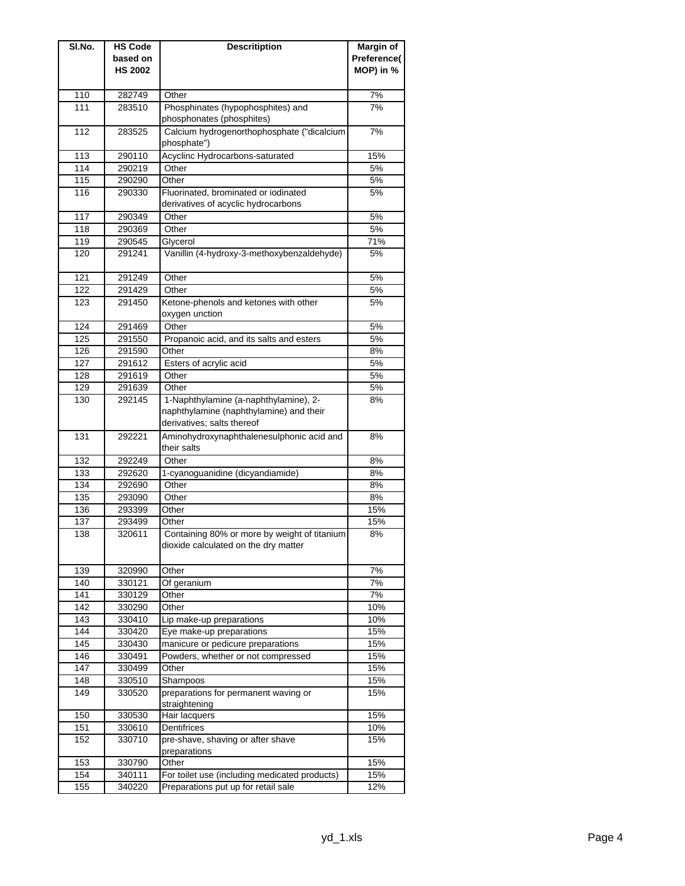| SI.No. | <b>HS Code</b> | <b>Descritiption</b>                          | <b>Margin of</b> |
|--------|----------------|-----------------------------------------------|------------------|
|        | based on       |                                               | Preference(      |
|        | <b>HS 2002</b> |                                               | MOP) in %        |
|        |                |                                               |                  |
| 110    | 282749         | Other                                         | 7%               |
| 111    | 283510         | Phosphinates (hypophosphites) and             | 7%               |
|        |                | phosphonates (phosphites)                     |                  |
| 112    | 283525         | Calcium hydrogenorthophosphate ("dicalcium    | 7%               |
|        |                | phosphate")                                   |                  |
| 113    | 290110         | Acyclinc Hydrocarbons-saturated               | 15%              |
| 114    | 290219         | Other                                         | 5%               |
| 115    | 290290         | Other                                         | 5%               |
| 116    | 290330         | Fluorinated, brominated or iodinated          | 5%               |
|        |                | derivatives of acyclic hydrocarbons           |                  |
| 117    | 290349         | Other                                         | 5%               |
| 118    | 290369         | Other                                         | 5%               |
| 119    | 290545         | Glycerol                                      | 71%              |
| 120    | 291241         | Vanillin (4-hydroxy-3-methoxybenzaldehyde)    | 5%               |
|        |                |                                               |                  |
| 121    | 291249         | Other                                         | 5%               |
| 122    | 291429         | Other                                         | 5%               |
| 123    | 291450         | Ketone-phenols and ketones with other         | 5%               |
|        |                | oxygen unction                                |                  |
| 124    | 291469         | Other                                         | 5%               |
| 125    | 291550         | Propanoic acid, and its salts and esters      | 5%               |
| 126    | 291590         | Other                                         | 8%               |
| 127    | 291612         | Esters of acrylic acid                        | 5%               |
| 128    | 291619         | Other                                         | 5%               |
| 129    | 291639         | Other                                         | 5%               |
| 130    | 292145         | 1-Naphthylamine (a-naphthylamine), 2-         | 8%               |
|        |                | naphthylamine (naphthylamine) and their       |                  |
|        |                | derivatives; salts thereof                    |                  |
| 131    | 292221         | Aminohydroxynaphthalenesulphonic acid and     | 8%               |
|        |                | their salts                                   |                  |
| 132    | 292249         | Other                                         | 8%               |
| 133    | 292620         | 1-cyanoguanidine (dicyandiamide)              | 8%               |
| 134    | 292690         | Other                                         | 8%               |
| 135    | 293090         | Other                                         | 8%               |
| 136    | 293399         | Other                                         | 15%              |
| 137    | 293499         | Other                                         | 15%              |
| 138    | 320611         | Containing 80% or more by weight of titanium  | 8%               |
|        |                | dioxide calculated on the dry matter          |                  |
|        |                |                                               |                  |
| 139    | 320990         | Other                                         | 7%               |
| 140    | 330121         | Of geranium                                   | 7%               |
| 141    | 330129         | Other                                         | 7%               |
| 142    | 330290         | Other                                         | 10%              |
| 143    | 330410         | Lip make-up preparations                      | 10%              |
| 144    | 330420         | Eye make-up preparations                      | 15%              |
| 145    | 330430         | manicure or pedicure preparations             | 15%              |
| 146    | 330491         | Powders, whether or not compressed            | 15%              |
| 147    | 330499         | Other                                         | 15%              |
| 148    | 330510         | Shampoos                                      | 15%              |
| 149    | 330520         | preparations for permanent waving or          | 15%              |
|        |                | straightening                                 |                  |
| 150    | 330530         | Hair lacquers                                 | 15%              |
| 151    | 330610         | Dentifrices                                   | 10%              |
| 152    | 330710         | pre-shave, shaving or after shave             | 15%              |
|        |                | preparations                                  |                  |
| 153    | 330790         | Other                                         | 15%              |
| 154    | 340111         | For toilet use (including medicated products) | 15%              |
| 155    | 340220         | Preparations put up for retail sale           | 12%              |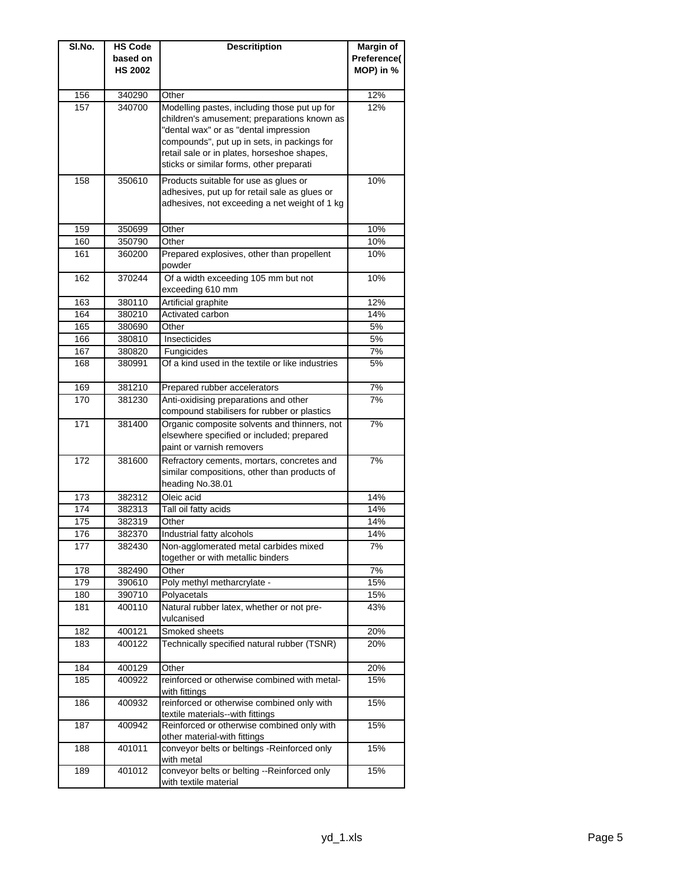| SI.No. | <b>HS Code</b> | <b>Descritiption</b>                                      | Margin of   |
|--------|----------------|-----------------------------------------------------------|-------------|
|        | based on       |                                                           | Preference( |
|        | <b>HS 2002</b> |                                                           | MOP) in %   |
|        |                |                                                           |             |
| 156    | 340290         | Other                                                     | 12%         |
| 157    | 340700         | Modelling pastes, including those put up for              | 12%         |
|        |                | children's amusement; preparations known as               |             |
|        |                | "dental wax" or as "dental impression                     |             |
|        |                | compounds", put up in sets, in packings for               |             |
|        |                | retail sale or in plates, horseshoe shapes,               |             |
|        |                | sticks or similar forms, other preparati                  |             |
| 158    | 350610         | Products suitable for use as glues or                     | 10%         |
|        |                | adhesives, put up for retail sale as glues or             |             |
|        |                | adhesives, not exceeding a net weight of 1 kg             |             |
|        |                |                                                           |             |
| 159    | 350699         | Other                                                     | 10%         |
| 160    | 350790         | Other                                                     | 10%         |
| 161    | 360200         | Prepared explosives, other than propellent                | 10%         |
|        |                | powder                                                    |             |
| 162    | 370244         | Of a width exceeding 105 mm but not                       | 10%         |
|        |                | exceeding 610 mm                                          |             |
| 163    | 380110         | Artificial graphite                                       | 12%         |
| 164    | 380210         | Activated carbon                                          | 14%         |
| 165    | 380690         | Other                                                     | 5%          |
| 166    | 380810         | Insecticides                                              | 5%          |
| 167    | 380820         | Fungicides                                                | 7%          |
| 168    | 380991         | Of a kind used in the textile or like industries          | 5%          |
|        |                |                                                           |             |
| 169    | 381210         | Prepared rubber accelerators                              | 7%          |
| 170    | 381230         | Anti-oxidising preparations and other                     | 7%          |
|        |                | compound stabilisers for rubber or plastics               |             |
| 171    | 381400         | Organic composite solvents and thinners, not              | 7%          |
|        |                | elsewhere specified or included; prepared                 |             |
|        |                | paint or varnish removers                                 |             |
| 172    | 381600         | Refractory cements, mortars, concretes and                | 7%          |
|        |                | similar compositions, other than products of              |             |
|        |                | heading No.38.01                                          |             |
| 173    | 382312         | Oleic acid                                                | 14%         |
| 174    | 382313         | Tall oil fatty acids                                      | 14%         |
| 175    | 382319         | Other                                                     | 14%         |
| 176    | 382370         | Industrial fatty alcohols                                 | 14%         |
| 177    | 382430         | Non-agglomerated metal carbides mixed                     | 7%          |
|        |                | together or with metallic binders                         |             |
| 178    | 382490         | Other                                                     | 7%          |
| 179    | 390610         | Poly methyl metharcrylate -                               | 15%         |
| 180    | 390710         | Polyacetals                                               | 15%         |
| 181    | 400110         | Natural rubber latex, whether or not pre-                 | 43%         |
|        |                | vulcanised                                                |             |
| 182    | 400121         | Smoked sheets                                             | 20%         |
| 183    | 400122         | Technically specified natural rubber (TSNR)               | 20%         |
|        |                |                                                           |             |
| 184    | 400129         | Other                                                     | 20%         |
| 185    | 400922         | reinforced or otherwise combined with metal-              | 15%         |
|        |                | with fittings                                             |             |
| 186    | 400932         | reinforced or otherwise combined only with                | 15%         |
|        |                | textile materials--with fittings                          |             |
| 187    | 400942         | Reinforced or otherwise combined only with                | 15%         |
|        |                | other material-with fittings                              |             |
| 188    | 401011         | conveyor belts or beltings -Reinforced only               | 15%         |
| 189    | 401012         | with metal<br>conveyor belts or belting --Reinforced only | 15%         |
|        |                | with textile material                                     |             |
|        |                |                                                           |             |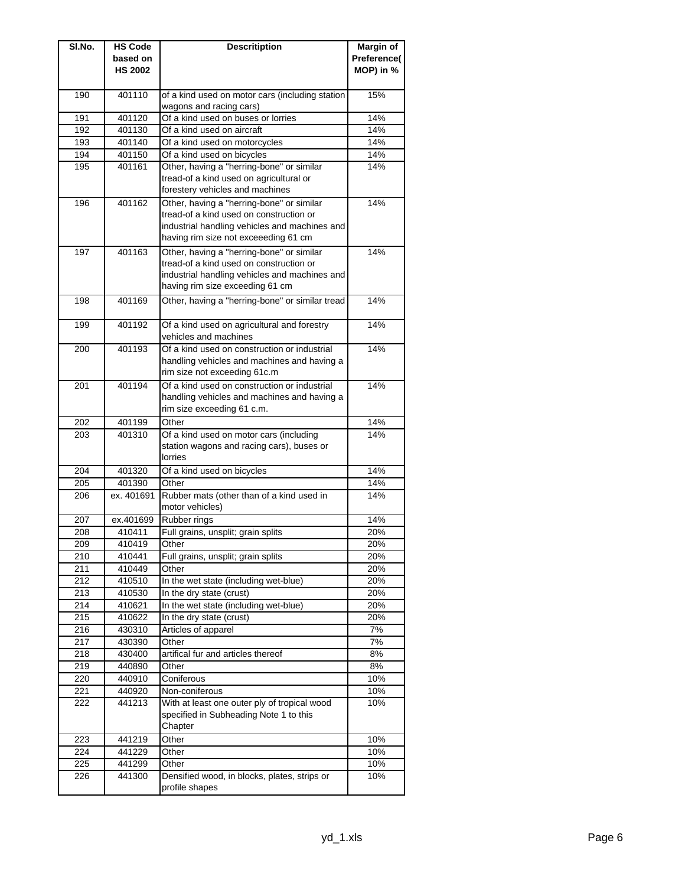| SI.No. | <b>HS Code</b> | <b>Descritiption</b>                            | <b>Margin of</b> |
|--------|----------------|-------------------------------------------------|------------------|
|        | based on       |                                                 | Preference(      |
|        | <b>HS 2002</b> |                                                 | MOP) in %        |
|        |                |                                                 |                  |
| 190    | 401110         | of a kind used on motor cars (including station | 15%              |
|        |                | wagons and racing cars)                         |                  |
| 191    | 401120         | Of a kind used on buses or lorries              | 14%              |
| 192    | 401130         | Of a kind used on aircraft                      | 14%              |
| 193    | 401140         | Of a kind used on motorcycles                   | 14%              |
| 194    | 401150         | Of a kind used on bicycles                      | 14%              |
| 195    | 401161         | Other, having a "herring-bone" or similar       | 14%              |
|        |                | tread-of a kind used on agricultural or         |                  |
|        |                | forestery vehicles and machines                 |                  |
| 196    | 401162         | Other, having a "herring-bone" or similar       | 14%              |
|        |                | tread-of a kind used on construction or         |                  |
|        |                | industrial handling vehicles and machines and   |                  |
|        |                | having rim size not exceeeding 61 cm            |                  |
| 197    | 401163         | Other, having a "herring-bone" or similar       | 14%              |
|        |                | tread-of a kind used on construction or         |                  |
|        |                | industrial handling vehicles and machines and   |                  |
|        |                | having rim size exceeding 61 cm                 |                  |
| 198    | 401169         | Other, having a "herring-bone" or similar tread | 14%              |
|        |                |                                                 |                  |
| 199    | 401192         | Of a kind used on agricultural and forestry     | 14%              |
|        |                | vehicles and machines                           |                  |
| 200    | 401193         | Of a kind used on construction or industrial    | 14%              |
|        |                | handling vehicles and machines and having a     |                  |
|        |                | rim size not exceeding 61c.m                    |                  |
| 201    | 401194         | Of a kind used on construction or industrial    | 14%              |
|        |                | handling vehicles and machines and having a     |                  |
|        |                | rim size exceeding 61 c.m.                      |                  |
| 202    | 401199         | Other                                           | 14%              |
| 203    | 401310         | Of a kind used on motor cars (including         | 14%              |
|        |                | station wagons and racing cars), buses or       |                  |
|        |                | lorries                                         |                  |
| 204    | 401320         | Of a kind used on bicycles                      | 14%              |
| 205    | 401390         | Other                                           | 14%              |
| 206    | ex. 401691     | Rubber mats (other than of a kind used in       | 14%              |
|        |                | motor vehicles)                                 |                  |
| 207    | ex.401699      | Rubber rings                                    | 14%              |
| 208    | 410411         | Full grains, unsplit; grain splits              | 20%              |
|        |                |                                                 |                  |
| 209    | 410419         | Other                                           | 20%              |
| 210    | 410441         | Full grains, unsplit; grain splits              | 20%              |
| 211    | 410449         | Other                                           | 20%              |
| 212    | 410510         | In the wet state (including wet-blue)           | 20%              |
| 213    | 410530         | In the dry state (crust)                        | 20%              |
| 214    | 410621         | In the wet state (including wet-blue)           | 20%              |
| 215    | 410622         | In the dry state (crust)                        | 20%              |
| 216    | 430310         | Articles of apparel                             | 7%               |
| 217    | 430390         | Other                                           | 7%               |
| 218    | 430400         | artifical fur and articles thereof              | 8%               |
| 219    | 440890         | Other                                           | 8%               |
| 220    | 440910         | Coniferous                                      | 10%              |
| 221    | 440920         | Non-coniferous                                  | 10%              |
| 222    | 441213         | With at least one outer ply of tropical wood    | 10%              |
|        |                | specified in Subheading Note 1 to this          |                  |
|        |                | Chapter                                         |                  |
| 223    | 441219         | Other                                           | 10%              |
| 224    | 441229         | Other                                           | 10%              |
| 225    | 441299         | Other                                           | 10%              |
| 226    | 441300         | Densified wood, in blocks, plates, strips or    | 10%              |
|        |                | profile shapes                                  |                  |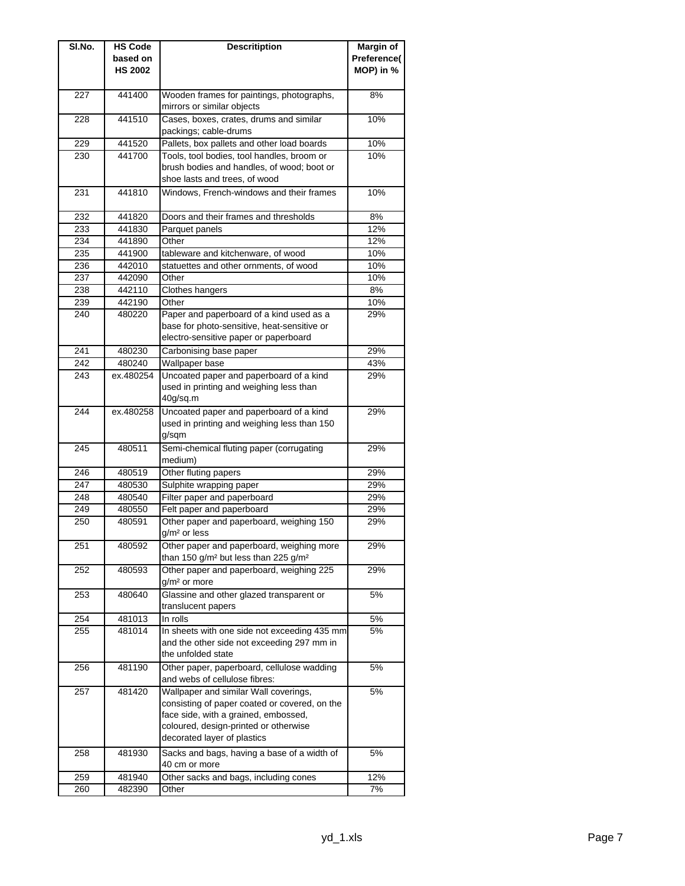| SI.No.     | <b>HS Code</b>   | <b>Descritiption</b>                                                                                      | Margin of   |
|------------|------------------|-----------------------------------------------------------------------------------------------------------|-------------|
|            | based on         |                                                                                                           | Preference( |
|            | <b>HS 2002</b>   |                                                                                                           | MOP) in %   |
|            |                  |                                                                                                           |             |
| 227        | 441400           | Wooden frames for paintings, photographs,                                                                 | 8%          |
|            |                  | mirrors or similar objects                                                                                |             |
| 228        | 441510           | Cases, boxes, crates, drums and similar                                                                   | 10%         |
|            |                  | packings; cable-drums                                                                                     |             |
| 229        | 441520<br>441700 | Pallets, box pallets and other load boards                                                                | 10%         |
| 230        |                  | Tools, tool bodies, tool handles, broom or<br>brush bodies and handles, of wood; boot or                  | 10%         |
|            |                  | shoe lasts and trees, of wood                                                                             |             |
| 231        | 441810           | Windows, French-windows and their frames                                                                  | 10%         |
|            |                  |                                                                                                           |             |
| 232        | 441820           | Doors and their frames and thresholds                                                                     | 8%          |
| 233        | 441830           | Parquet panels                                                                                            | 12%         |
| 234        | 441890           | Other                                                                                                     | 12%         |
| 235        | 441900           | tableware and kitchenware, of wood                                                                        | 10%         |
| 236        | 442010           | statuettes and other ornments, of wood                                                                    | 10%         |
| 237        | 442090           | Other                                                                                                     | 10%         |
| 238        | 442110           | Clothes hangers                                                                                           | 8%          |
| 239        | 442190           | Other                                                                                                     | 10%         |
| 240        | 480220           | Paper and paperboard of a kind used as a                                                                  | 29%         |
|            |                  | base for photo-sensitive, heat-sensitive or                                                               |             |
| 241        |                  | electro-sensitive paper or paperboard                                                                     |             |
|            | 480230           | Carbonising base paper                                                                                    | 29%         |
| 242<br>243 | 480240           | Wallpaper base<br>Uncoated paper and paperboard of a kind                                                 | 43%         |
|            | ex.480254        | used in printing and weighing less than                                                                   | 29%         |
|            |                  | 40g/sq.m                                                                                                  |             |
| 244        | ex.480258        | Uncoated paper and paperboard of a kind                                                                   | 29%         |
|            |                  | used in printing and weighing less than 150                                                               |             |
|            |                  | g/sqm                                                                                                     |             |
| 245        | 480511           | Semi-chemical fluting paper (corrugating                                                                  | 29%         |
|            |                  | medium)                                                                                                   |             |
| 246        | 480519           | Other fluting papers                                                                                      | 29%         |
| 247        | 480530           | Sulphite wrapping paper                                                                                   | 29%         |
| 248        | 480540           | Filter paper and paperboard                                                                               | 29%         |
| 249        | 480550           | Felt paper and paperboard                                                                                 | 29%         |
| 250        | 480591           | Other paper and paperboard, weighing 150                                                                  | 29%         |
|            |                  | $g/m2$ or less                                                                                            |             |
| 251        | 480592           | Other paper and paperboard, weighing more<br>than 150 g/m <sup>2</sup> but less than 225 g/m <sup>2</sup> | 29%         |
| 252        | 480593           | Other paper and paperboard, weighing 225                                                                  | 29%         |
|            |                  | $g/m2$ or more                                                                                            |             |
| 253        | 480640           | Glassine and other glazed transparent or                                                                  | 5%          |
|            |                  | translucent papers                                                                                        |             |
| 254        | 481013           | In rolls                                                                                                  | 5%          |
| 255        | 481014           | In sheets with one side not exceeding 435 mm                                                              | 5%          |
|            |                  | and the other side not exceeding 297 mm in                                                                |             |
|            |                  | the unfolded state                                                                                        |             |
| 256        | 481190           | Other paper, paperboard, cellulose wadding                                                                | 5%          |
|            |                  | and webs of cellulose fibres:                                                                             |             |
| 257        | 481420           | Wallpaper and similar Wall coverings,                                                                     | 5%          |
|            |                  | consisting of paper coated or covered, on the<br>face side, with a grained, embossed,                     |             |
|            |                  | coloured, design-printed or otherwise                                                                     |             |
|            |                  | decorated layer of plastics                                                                               |             |
| 258        | 481930           | Sacks and bags, having a base of a width of                                                               | 5%          |
|            |                  | 40 cm or more                                                                                             |             |
| 259        | 481940           | Other sacks and bags, including cones                                                                     | 12%         |
| 260        | 482390           | Other                                                                                                     | 7%          |
|            |                  |                                                                                                           |             |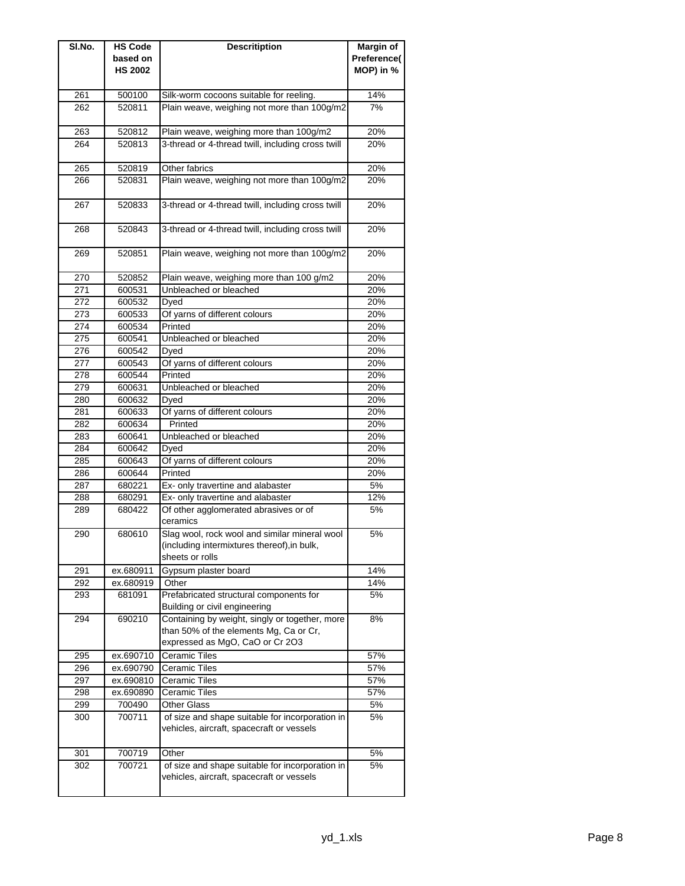| SI.No. | <b>HS Code</b> | <b>Descritiption</b>                              | <b>Margin of</b> |
|--------|----------------|---------------------------------------------------|------------------|
|        | based on       |                                                   | Preference(      |
|        | <b>HS 2002</b> |                                                   | MOP) in %        |
|        |                |                                                   |                  |
| 261    | 500100         | Silk-worm cocoons suitable for reeling.           | 14%              |
| 262    | 520811         | Plain weave, weighing not more than 100g/m2       | 7%               |
|        |                |                                                   |                  |
| 263    | 520812         | Plain weave, weighing more than 100g/m2           | 20%              |
| 264    | 520813         | 3-thread or 4-thread twill, including cross twill | 20%              |
|        |                |                                                   |                  |
| 265    | 520819         | Other fabrics                                     | 20%              |
| 266    | 520831         | Plain weave, weighing not more than 100g/m2       | 20%              |
|        |                |                                                   |                  |
| 267    | 520833         | 3-thread or 4-thread twill, including cross twill | 20%              |
|        |                |                                                   |                  |
| 268    | 520843         | 3-thread or 4-thread twill, including cross twill | 20%              |
|        |                |                                                   |                  |
| 269    | 520851         | Plain weave, weighing not more than 100g/m2       | 20%              |
|        |                |                                                   |                  |
| 270    | 520852         | Plain weave, weighing more than 100 g/m2          | 20%              |
| 271    | 600531         | Unbleached or bleached                            | 20%              |
| 272    | 600532         | Dyed                                              | 20%              |
| 273    | 600533         | Of yarns of different colours                     | 20%              |
| 274    | 600534         | Printed                                           | 20%              |
| 275    | 600541         | Unbleached or bleached                            | 20%              |
| 276    | 600542         | Dyed                                              | 20%              |
| 277    | 600543         | Of yarns of different colours                     | 20%              |
| 278    | 600544         | Printed                                           | 20%              |
| 279    | 600631         | Unbleached or bleached                            | 20%              |
| 280    | 600632         | Dyed                                              | 20%              |
| 281    | 600633         | Of yarns of different colours                     | 20%              |
| 282    | 600634         | Printed                                           | 20%              |
| 283    | 600641         | Unbleached or bleached                            | 20%              |
| 284    | 600642         | Dyed                                              | 20%              |
| 285    | 600643         | Of yarns of different colours                     | 20%              |
| 286    | 600644         | Printed                                           | 20%              |
| 287    | 680221         | Ex- only travertine and alabaster                 | 5%               |
| 288    | 680291         | Ex- only travertine and alabaster                 | 12%              |
| 289    | 680422         | Of other agglomerated abrasives or of             | 5%               |
|        |                | ceramics                                          |                  |
| 290    | 680610         | Slag wool, rock wool and similar mineral wool     | 5%               |
|        |                | (including intermixtures thereof), in bulk,       |                  |
|        |                | sheets or rolls                                   |                  |
| 291    | ex.680911      | Gypsum plaster board                              | 14%              |
| 292    | ex.680919      | Other                                             | 14%              |
| 293    | 681091         | Prefabricated structural components for           | 5%               |
|        |                | Building or civil engineering                     |                  |
| 294    | 690210         | Containing by weight, singly or together, more    | 8%               |
|        |                | than 50% of the elements Mg, Ca or Cr,            |                  |
|        |                | expressed as MgO, CaO or Cr 2O3                   |                  |
| 295    | ex.690710      | Ceramic Tiles                                     | 57%              |
| 296    | ex.690790      | Ceramic Tiles                                     | 57%              |
| 297    | ex.690810      | Ceramic Tiles                                     | 57%              |
| 298    | ex.690890      | Ceramic Tiles                                     | 57%              |
| 299    | 700490         | <b>Other Glass</b>                                | 5%               |
| 300    | 700711         | of size and shape suitable for incorporation in   | 5%               |
|        |                | vehicles, aircraft, spacecraft or vessels         |                  |
|        |                |                                                   |                  |
| 301    | 700719         | Other                                             | 5%               |
| 302    | 700721         | of size and shape suitable for incorporation in   | 5%               |
|        |                | vehicles, aircraft, spacecraft or vessels         |                  |
|        |                |                                                   |                  |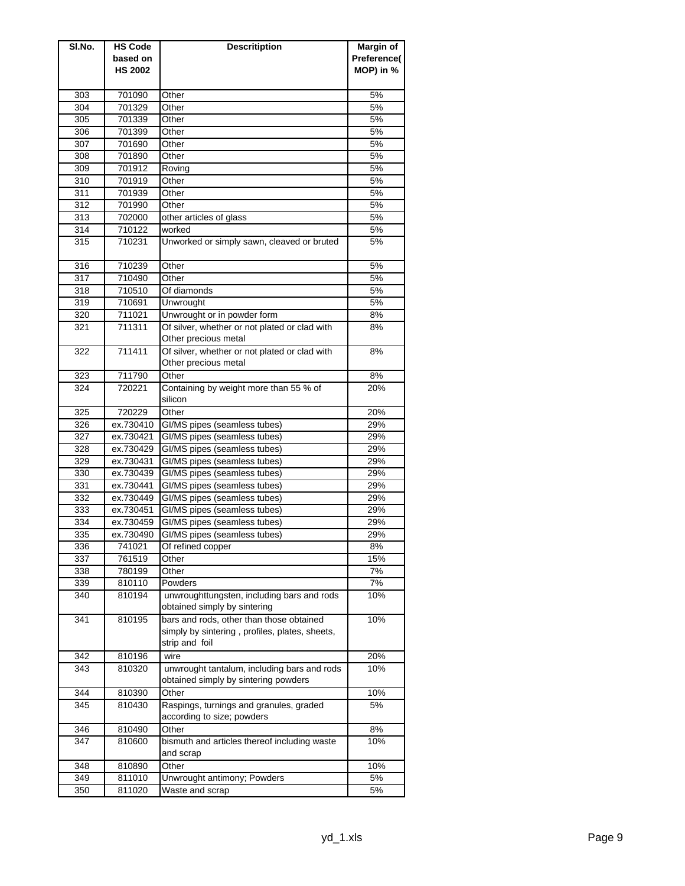| SI.No.           | <b>HS Code</b> | <b>Descritiption</b>                           | Margin of   |
|------------------|----------------|------------------------------------------------|-------------|
|                  | based on       |                                                | Preference( |
|                  | <b>HS 2002</b> |                                                | MOP) in %   |
|                  |                |                                                |             |
| 303              | 701090         | Other                                          | 5%          |
| 304              | 701329         | Other                                          | 5%          |
| 305              | 701339         | Other                                          | 5%          |
| 306              | 701399         | Other                                          | 5%          |
| 307              | 701690         | Other                                          | 5%          |
| 308              | 701890         | Other                                          | 5%          |
| 309              | 701912         | Roving                                         | 5%          |
| 310              | 701919         | Other                                          | 5%          |
| 311              | 701939         | Other                                          | 5%          |
| 312              | 701990         | Other                                          | 5%          |
| 313              | 702000         | other articles of glass                        | 5%          |
| 314              | 710122         | worked                                         | 5%          |
| 315              | 710231         | Unworked or simply sawn, cleaved or bruted     | 5%          |
|                  |                |                                                |             |
| 316              | 710239         | Other                                          | 5%          |
| $\overline{3}17$ | 710490         | Other                                          | 5%          |
| 318              | 710510         | Of diamonds                                    | 5%          |
| 319              | 710691         | Unwrought                                      | 5%          |
| 320              | 711021         | Unwrought or in powder form                    | 8%          |
| 321              | 711311         | Of silver, whether or not plated or clad with  | 8%          |
|                  |                | Other precious metal                           |             |
| 322              | 711411         | Of silver, whether or not plated or clad with  | 8%          |
|                  |                | Other precious metal                           |             |
| 323              | 711790         | Other                                          | 8%          |
| 324              | 720221         | Containing by weight more than 55 % of         | 20%         |
|                  |                | silicon                                        |             |
| 325              | 720229         | Other                                          | 20%         |
| 326              | ex.730410      | GI/MS pipes (seamless tubes)                   | 29%         |
| 327              | ex.730421      | GI/MS pipes (seamless tubes)                   | 29%         |
| 328              | ex.730429      | GI/MS pipes (seamless tubes)                   | 29%         |
| 329              | ex.730431      | GI/MS pipes (seamless tubes)                   | 29%         |
| 330              | ex.730439      | GI/MS pipes (seamless tubes)                   | 29%         |
| 331              | ex.730441      | GI/MS pipes (seamless tubes)                   | 29%         |
| 332              | ex.730449      | GI/MS pipes (seamless tubes)                   | 29%         |
| 333              | ex.730451      | GI/MS pipes (seamless tubes)                   | 29%         |
| 334              | ex.730459      | GI/MS pipes (seamless tubes)                   | 29%         |
| 335              | ex.730490      | GI/MS pipes (seamless tubes)                   | 29%         |
| 336              | 741021         | Of refined copper                              | 8%          |
| 337              | 761519         | Other                                          | 15%         |
| 338              | 780199         | Other                                          | 7%          |
| 339              | 810110         | Powders                                        | 7%          |
| 340              | 810194         | unwroughttungsten, including bars and rods     | 10%         |
|                  |                | obtained simply by sintering                   |             |
| 341              | 810195         | bars and rods, other than those obtained       | 10%         |
|                  |                | simply by sintering, profiles, plates, sheets, |             |
|                  |                | strip and foil                                 |             |
| 342              | 810196         | wire                                           | 20%         |
| 343              | 810320         | unwrought tantalum, including bars and rods    | 10%         |
|                  |                | obtained simply by sintering powders           |             |
| 344              | 810390         | Other                                          | 10%         |
| 345              | 810430         | Raspings, turnings and granules, graded        | 5%          |
|                  |                | according to size; powders                     |             |
| 346              | 810490         | Other                                          | 8%          |
| 347              | 810600         | bismuth and articles thereof including waste   | 10%         |
|                  |                | and scrap                                      |             |
| 348              | 810890         | Other                                          | 10%         |
| 349              | 811010         | Unwrought antimony; Powders                    | 5%          |
| 350              | 811020         | Waste and scrap                                | 5%          |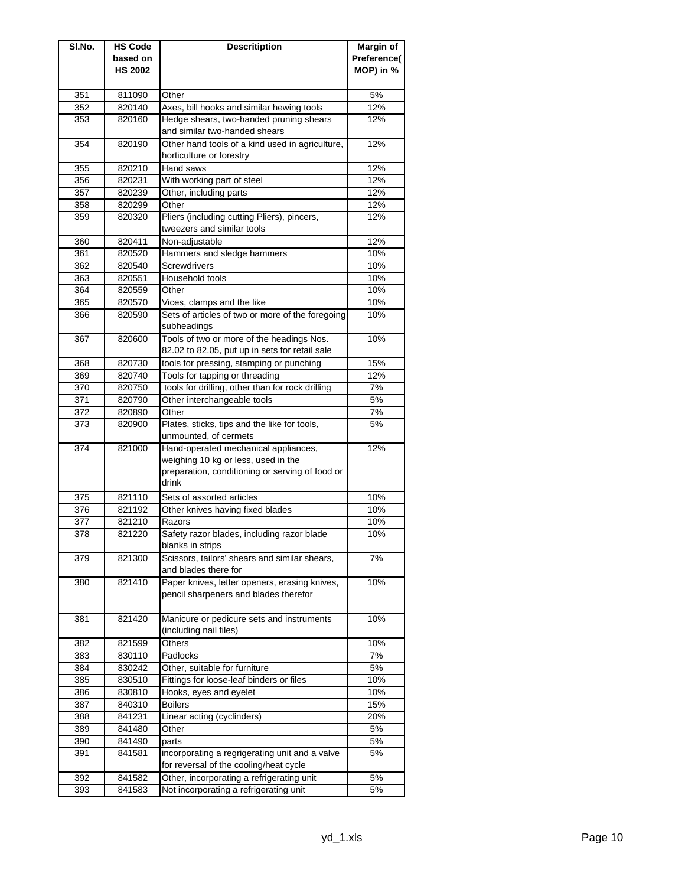| SI.No.     | <b>HS Code</b>   | <b>Descritiption</b>                                                                     | Margin of   |
|------------|------------------|------------------------------------------------------------------------------------------|-------------|
|            | based on         |                                                                                          | Preference( |
|            | <b>HS 2002</b>   |                                                                                          | MOP) in %   |
|            |                  |                                                                                          |             |
| 351        | 811090           | Other<br>Axes, bill hooks and similar hewing tools                                       | 5%<br>12%   |
| 352<br>353 | 820140<br>820160 | Hedge shears, two-handed pruning shears                                                  | 12%         |
|            |                  | and similar two-handed shears                                                            |             |
| 354        | 820190           | Other hand tools of a kind used in agriculture,<br>horticulture or forestry              | 12%         |
| 355        | 820210           | Hand saws                                                                                | 12%         |
| 356        | 820231           | With working part of steel                                                               | 12%         |
| 357        | 820239           | Other, including parts                                                                   | 12%         |
| 358        | 820299           | Other                                                                                    | 12%         |
| 359        | 820320           | Pliers (including cutting Pliers), pincers,<br>tweezers and similar tools                | 12%         |
| 360        | 820411           | Non-adjustable                                                                           | 12%         |
| 361        | 820520           | Hammers and sledge hammers                                                               | 10%         |
| 362        | 820540           | Screwdrivers                                                                             | 10%         |
| 363        | 820551           | Household tools                                                                          | 10%         |
| 364        | 820559           | Other                                                                                    | 10%         |
| 365        | 820570           | Vices, clamps and the like                                                               | 10%         |
| 366        | 820590           | Sets of articles of two or more of the foregoing<br>subheadings                          | 10%         |
| 367        | 820600           | Tools of two or more of the headings Nos.                                                | 10%         |
|            |                  | 82.02 to 82.05, put up in sets for retail sale                                           |             |
| 368        | 820730           | tools for pressing, stamping or punching                                                 | 15%         |
| 369        | 820740           | Tools for tapping or threading                                                           | 12%         |
| 370        | 820750           | tools for drilling, other than for rock drilling                                         | 7%          |
| 371        | 820790           | Other interchangeable tools                                                              | 5%          |
| 372        | 820890           | Other                                                                                    | 7%          |
| 373        | 820900           | Plates, sticks, tips and the like for tools,<br>unmounted, of cermets                    | 5%          |
| 374        | 821000           | Hand-operated mechanical appliances,                                                     | 12%         |
|            |                  | weighing 10 kg or less, used in the                                                      |             |
|            |                  | preparation, conditioning or serving of food or<br>drink                                 |             |
| 375        | 821110           | Sets of assorted articles                                                                | 10%         |
| 376        | 821192           | Other knives having fixed blades                                                         | 10%         |
| 377        | 821210           | Razors                                                                                   | 10%         |
| 378        | 821220           | Safety razor blades, including razor blade<br>blanks in strips                           | 10%         |
| 379        | 821300           | Scissors, tailors' shears and similar shears,<br>and blades there for                    | 7%          |
| 380        | 821410           | Paper knives, letter openers, erasing knives,                                            | 10%         |
|            |                  | pencil sharpeners and blades therefor                                                    |             |
| 381        | 821420           | Manicure or pedicure sets and instruments<br>(including nail files)                      | 10%         |
| 382        | 821599           | Others                                                                                   | 10%         |
| 383        | 830110           | Padlocks                                                                                 | 7%          |
| 384        | 830242           | Other, suitable for furniture                                                            | 5%          |
| 385        | 830510           | Fittings for loose-leaf binders or files                                                 | 10%         |
| 386        | 830810           | Hooks, eyes and eyelet                                                                   | 10%         |
| 387        | 840310           | <b>Boilers</b>                                                                           | 15%         |
| 388        | 841231           | Linear acting (cyclinders)                                                               | 20%         |
| 389        | 841480           | Other                                                                                    | 5%          |
| 390        | 841490           | parts                                                                                    | 5%          |
| 391        | 841581           | incorporating a regrigerating unit and a valve<br>for reversal of the cooling/heat cycle | 5%          |
| 392        | 841582           | Other, incorporating a refrigerating unit                                                | 5%          |
| 393        | 841583           | Not incorporating a refrigerating unit                                                   | 5%          |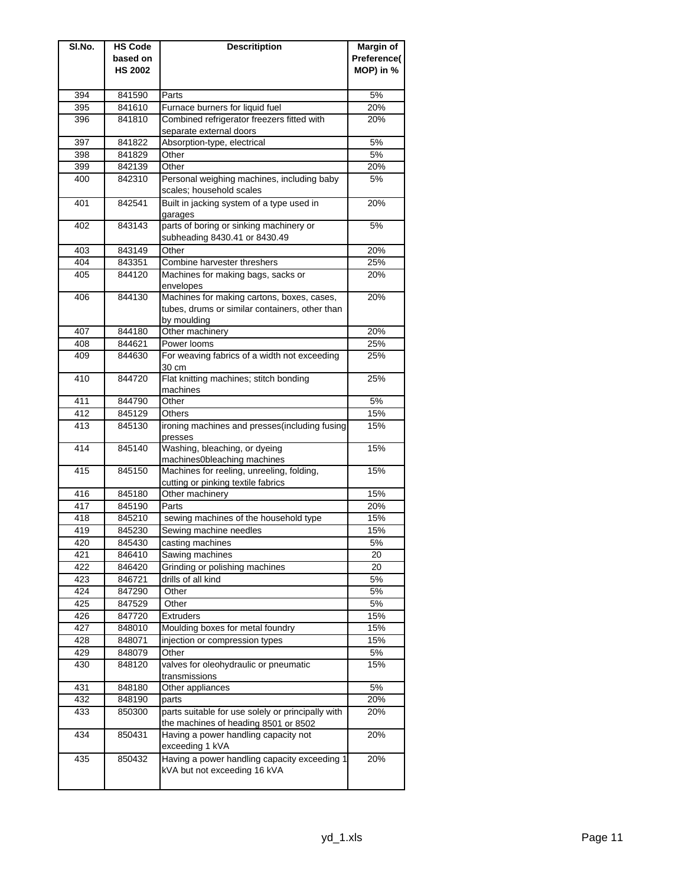| SI.No. | <b>HS Code</b> | <b>Descritiption</b>                                   | Margin of   |
|--------|----------------|--------------------------------------------------------|-------------|
|        | based on       |                                                        | Preference( |
|        | <b>HS 2002</b> |                                                        | MOP) in %   |
|        |                |                                                        |             |
| 394    | 841590         | Parts                                                  | 5%          |
| 395    | 841610         | Furnace burners for liquid fuel                        | 20%         |
| 396    | 841810         | Combined refrigerator freezers fitted with             | 20%         |
|        |                | separate external doors                                |             |
| 397    | 841822         | Absorption-type, electrical                            | 5%          |
| 398    | 841829         | Other                                                  | 5%          |
| 399    | 842139         | Other                                                  | 20%         |
| 400    | 842310         | Personal weighing machines, including baby             | 5%          |
|        |                | scales; household scales                               |             |
| 401    | 842541         | Built in jacking system of a type used in              | 20%         |
|        |                | garages                                                |             |
| 402    | 843143         | parts of boring or sinking machinery or                | 5%          |
|        |                | subheading 8430.41 or 8430.49                          |             |
| 403    | 843149         | Other                                                  | 20%         |
| 404    | 843351         | Combine harvester threshers                            | 25%         |
| 405    | 844120         | Machines for making bags, sacks or                     | 20%         |
|        |                | envelopes                                              |             |
| 406    | 844130         | Machines for making cartons, boxes, cases,             | 20%         |
|        |                | tubes, drums or similar containers, other than         |             |
| 407    | 844180         | by moulding<br>Other machinery                         | 20%         |
| 408    | 844621         | Power looms                                            | 25%         |
| 409    | 844630         | For weaving fabrics of a width not exceeding           | 25%         |
|        |                | 30 cm                                                  |             |
| 410    | 844720         | Flat knitting machines; stitch bonding                 | 25%         |
|        |                | machines                                               |             |
| 411    | 844790         | Other                                                  | 5%          |
| 412    | 845129         | Others                                                 | 15%         |
| 413    | 845130         | ironing machines and presses(including fusing          | 15%         |
|        |                | presses                                                |             |
| 414    | 845140         | Washing, bleaching, or dyeing                          | 15%         |
|        |                | machines0bleaching machines                            |             |
| 415    | 845150         | Machines for reeling, unreeling, folding,              | 15%         |
|        |                | cutting or pinking textile fabrics                     |             |
| 416    | 845180         | Other machinery                                        | 15%         |
| 417    | 845190         | Parts                                                  | 20%         |
| 418    | 845210         | sewing machines of the household type                  | 15%         |
| 419    | 845230         | Sewing machine needles                                 | 15%         |
| 420    | 845430         | casting machines                                       | 5%          |
| 421    | 846410         | Sawing machines                                        | 20          |
| 422    | 846420         | Grinding or polishing machines                         | 20          |
| 423    | 846721         | drills of all kind                                     | 5%          |
| 424    | 847290         | Other                                                  | 5%          |
| 425    | 847529         | Other                                                  | 5%          |
| 426    | 847720         | Extruders                                              | 15%         |
| 427    | 848010         | Moulding boxes for metal foundry                       | 15%         |
| 428    | 848071         | injection or compression types                         | 15%         |
| 429    | 848079         | Other                                                  | 5%          |
| 430    | 848120         | valves for oleohydraulic or pneumatic<br>transmissions | 15%         |
| 431    | 848180         | Other appliances                                       | 5%          |
| 432    | 848190         | parts                                                  | 20%         |
| 433    | 850300         | parts suitable for use solely or principally with      | 20%         |
|        |                | the machines of heading 8501 or 8502                   |             |
| 434    | 850431         | Having a power handling capacity not                   | 20%         |
|        |                | exceeding 1 kVA                                        |             |
| 435    | 850432         | Having a power handling capacity exceeding 1           | 20%         |
|        |                | kVA but not exceeding 16 kVA                           |             |
|        |                |                                                        |             |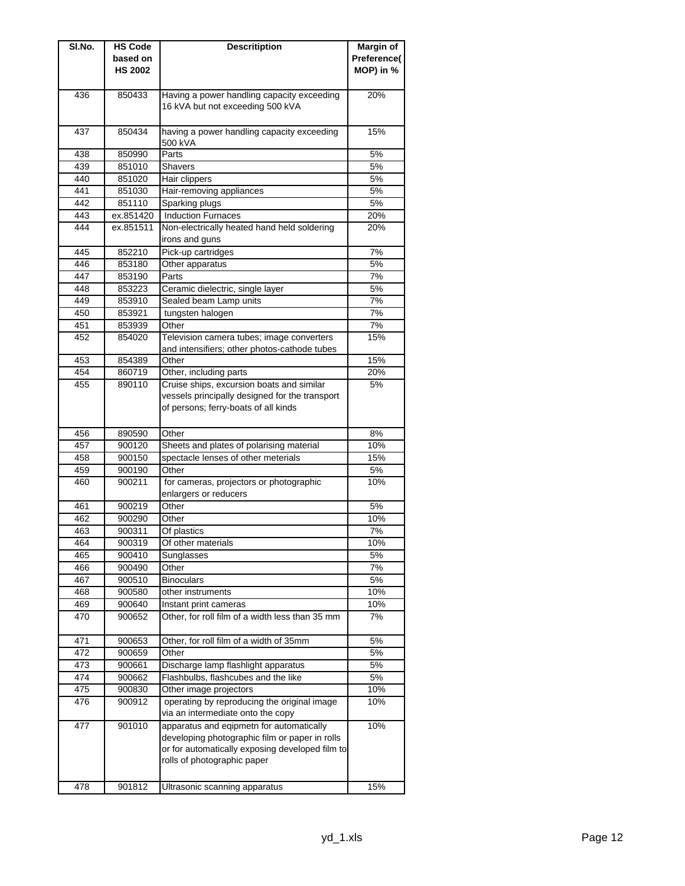| SI.No. | <b>HS Code</b> | <b>Descritiption</b>                            | Margin of   |
|--------|----------------|-------------------------------------------------|-------------|
|        | based on       |                                                 | Preference( |
|        | <b>HS 2002</b> |                                                 | MOP) in %   |
|        |                |                                                 |             |
| 436    | 850433         | Having a power handling capacity exceeding      | 20%         |
|        |                | 16 kVA but not exceeding 500 kVA                |             |
|        |                |                                                 |             |
| 437    | 850434         | having a power handling capacity exceeding      | 15%         |
|        |                | 500 kVA                                         |             |
| 438    | 850990         | Parts                                           | 5%          |
| 439    | 851010         | <b>Shavers</b>                                  | 5%          |
| 440    | 851020         | Hair clippers                                   | 5%          |
| 441    | 851030         | Hair-removing appliances                        | 5%          |
| 442    | 851110         | Sparking plugs                                  | 5%          |
| 443    | ex.851420      | <b>Induction Furnaces</b>                       | 20%         |
| 444    | ex.851511      | Non-electrically heated hand held soldering     | 20%         |
|        |                | irons and guns                                  |             |
| 445    | 852210         | Pick-up cartridges                              | 7%          |
| 446    | 853180         | Other apparatus                                 | 5%          |
| 447    | 853190         | Parts                                           | 7%          |
| 448    | 853223         | Ceramic dielectric, single layer                | 5%          |
| 449    | 853910         | Sealed beam Lamp units                          | 7%          |
| 450    | 853921         | tungsten halogen                                | 7%          |
| 451    | 853939         | Other                                           | 7%          |
| 452    | 854020         | Television camera tubes; image converters       | 15%         |
|        |                | and intensifiers; other photos-cathode tubes    |             |
| 453    | 854389         | Other                                           | 15%         |
| 454    | 860719         | Other, including parts                          | 20%         |
| 455    | 890110         | Cruise ships, excursion boats and similar       | 5%          |
|        |                | vessels principally designed for the transport  |             |
|        |                | of persons; ferry-boats of all kinds            |             |
|        |                |                                                 |             |
| 456    | 890590         | Other                                           | 8%          |
| 457    | 900120         |                                                 | 10%         |
|        |                | Sheets and plates of polarising material        | 15%         |
| 458    | 900150         | spectacle lenses of other meterials             |             |
| 459    | 900190         | Other                                           | 5%          |
| 460    | 900211         | for cameras, projectors or photographic         | 10%         |
|        |                | enlargers or reducers                           |             |
| 461    | 900219         | Other                                           | 5%          |
| 462    | 900290         | Other                                           | 10%         |
| 463    | 900311         | Of plastics                                     | 7%          |
| 464    | 900319         | Of other materials                              | 10%         |
| 465    | 900410         | Sunglasses                                      | 5%          |
| 466    | 900490         | Other                                           | 7%          |
| 467    | 900510         | <b>Binoculars</b>                               | 5%          |
| 468    | 900580         | other instruments                               | 10%         |
| 469    | 900640         | Instant print cameras                           | 10%         |
| 470    | 900652         | Other, for roll film of a width less than 35 mm | 7%          |
|        |                |                                                 |             |
| 471    | 900653         | Other, for roll film of a width of 35mm         | 5%          |
| 472    | 900659         | Other                                           | 5%          |
| 473    | 900661         | Discharge lamp flashlight apparatus             | 5%          |
| 474    | 900662         | Flashbulbs, flashcubes and the like             | 5%          |
| 475    | 900830         | Other image projectors                          | 10%         |
| 476    | 900912         | operating by reproducing the original image     | 10%         |
|        |                | via an intermediate onto the copy               |             |
| 477    | 901010         | apparatus and eqipmetn for automatically        | 10%         |
|        |                | developing photographic film or paper in rolls  |             |
|        |                | or for automatically exposing developed film to |             |
|        |                | rolls of photographic paper                     |             |
|        |                |                                                 |             |
| 478    | 901812         | Ultrasonic scanning apparatus                   | 15%         |
|        |                |                                                 |             |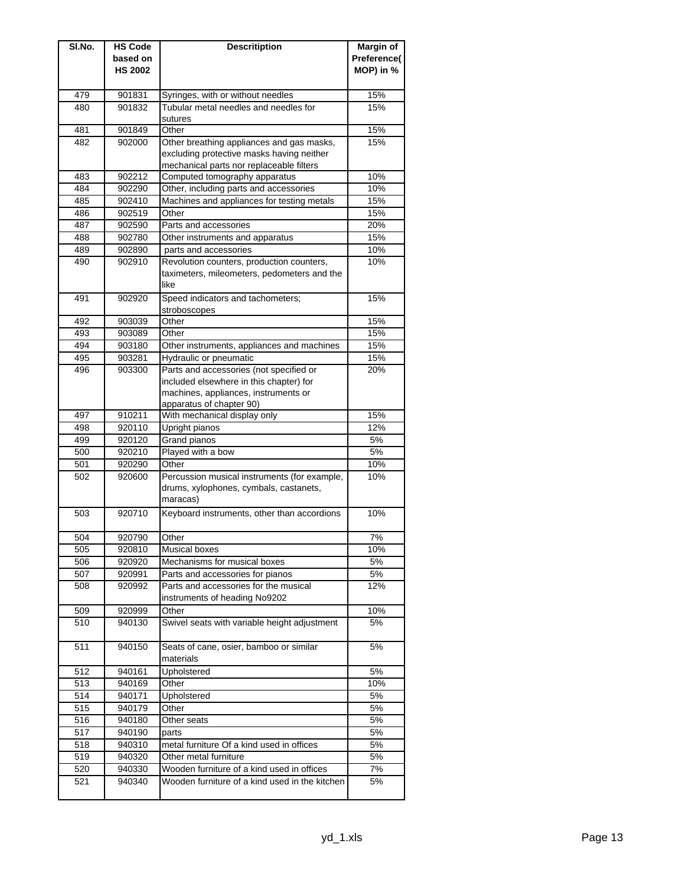| SI.No.     | <b>HS Code</b>   | <b>Descritiption</b>                                  | <b>Margin of</b> |
|------------|------------------|-------------------------------------------------------|------------------|
|            | based on         |                                                       | Preference(      |
|            | <b>HS 2002</b>   |                                                       | MOP) in %        |
|            |                  |                                                       |                  |
| 479        | 901831           | Syringes, with or without needles                     | 15%              |
| 480        | 901832           | Tubular metal needles and needles for<br>sutures      | 15%              |
| 481        | 901849           | Other                                                 | 15%              |
| 482        | 902000           | Other breathing appliances and gas masks,             | 15%              |
|            |                  | excluding protective masks having neither             |                  |
|            |                  | mechanical parts nor replaceable filters              |                  |
| 483        | 902212           | Computed tomography apparatus                         | 10%              |
| 484        | 902290           | Other, including parts and accessories                | 10%              |
| 485        | 902410           | Machines and appliances for testing metals            | 15%              |
| 486        | 902519           | Other                                                 | 15%              |
| 487        | 902590           | Parts and accessories                                 | 20%              |
| 488        | 902780           | Other instruments and apparatus                       | 15%              |
| 489        | 902890           | parts and accessories                                 | 10%              |
| 490        | 902910           | Revolution counters, production counters,             | 10%              |
|            |                  | taximeters, mileometers, pedometers and the<br>like   |                  |
|            |                  |                                                       |                  |
| 491        | 902920           | Speed indicators and tachometers;<br>stroboscopes     | 15%              |
| 492        | 903039           | Other                                                 | 15%              |
| 493        | 903089           | Other                                                 | 15%              |
| 494        | 903180           | Other instruments, appliances and machines            | 15%              |
| 495        | 903281           | Hydraulic or pneumatic                                | 15%              |
| 496        | 903300           | Parts and accessories (not specified or               | 20%              |
|            |                  | included elsewhere in this chapter) for               |                  |
|            |                  | machines, appliances, instruments or                  |                  |
|            |                  | apparatus of chapter 90)                              |                  |
| 497        | 910211           | With mechanical display only                          | 15%              |
| 498        | 920110           | Upright pianos                                        | 12%              |
| 499        | 920120           | Grand pianos                                          | 5%               |
| 500        | 920210           | Played with a bow                                     | 5%               |
| 501<br>502 | 920290<br>920600 | Other<br>Percussion musical instruments (for example, | 10%<br>10%       |
|            |                  | drums, xylophones, cymbals, castanets,                |                  |
|            |                  | maracas)                                              |                  |
| 503        | 920710           | Keyboard instruments, other than accordions           | 10%              |
|            |                  |                                                       |                  |
| 504        | 920790           | Other                                                 | 7%               |
| 505        | 920810           | Musical boxes                                         | 10%              |
| 506        | 920920           | Mechanisms for musical boxes                          | 5%               |
| 507        | 920991           | Parts and accessories for pianos                      | 5%               |
| 508        | 920992           | Parts and accessories for the musical                 | 12%              |
|            |                  | instruments of heading No9202                         |                  |
| 509        | 920999           | Other                                                 | 10%              |
| 510        | 940130           | Swivel seats with variable height adjustment          | 5%               |
| 511        | 940150           | Seats of cane, osier, bamboo or similar               | 5%               |
|            |                  | materials                                             |                  |
| 512        | 940161           | Upholstered                                           | 5%               |
| 513        | 940169           | Other                                                 | 10%              |
| 514        | 940171           | Upholstered                                           | 5%               |
| 515        | 940179           | Other                                                 | 5%               |
| 516        | 940180           | Other seats                                           | 5%               |
| 517        | 940190           | parts                                                 | 5%               |
| 518        | 940310           | metal furniture Of a kind used in offices             | 5%               |
| 519        | 940320           | Other metal furniture                                 | 5%               |
| 520        | 940330           | Wooden furniture of a kind used in offices            | 7%               |
| 521        | 940340           | Wooden furniture of a kind used in the kitchen        | 5%               |
|            |                  |                                                       |                  |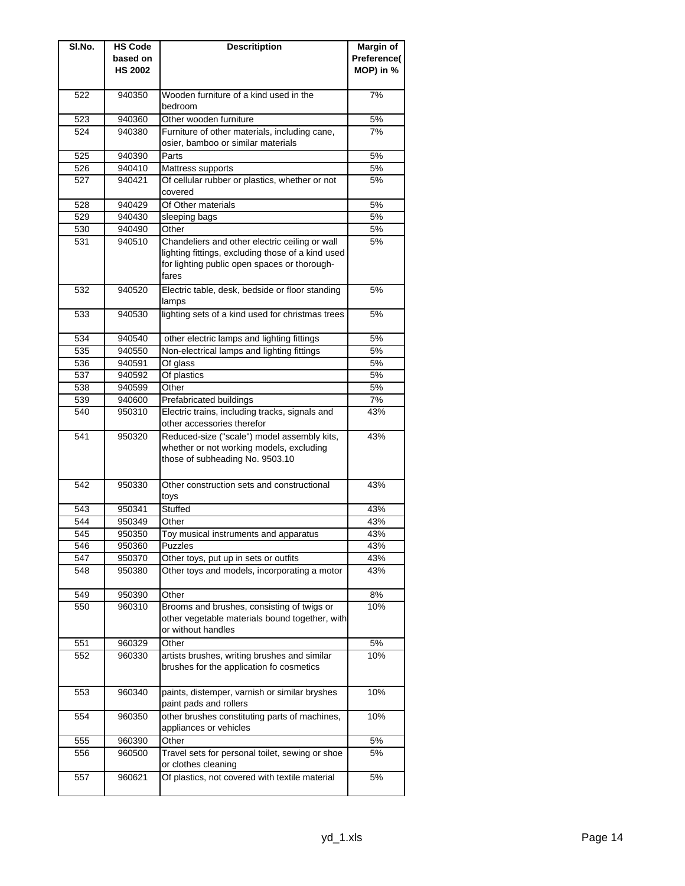| SI.No. | <b>HS Code</b> | <b>Descritiption</b>                              | Margin of   |
|--------|----------------|---------------------------------------------------|-------------|
|        | based on       |                                                   | Preference( |
|        | <b>HS 2002</b> |                                                   | MOP) in %   |
|        |                |                                                   |             |
| 522    | 940350         | Wooden furniture of a kind used in the            | 7%          |
|        |                | bedroom                                           |             |
| 523    | 940360         | Other wooden furniture                            | 5%          |
| 524    | 940380         | Furniture of other materials, including cane,     | 7%          |
|        |                | osier, bamboo or similar materials                |             |
| 525    | 940390         | Parts                                             | 5%          |
| 526    | 940410         | Mattress supports                                 | 5%          |
| 527    | 940421         | Of cellular rubber or plastics, whether or not    | 5%          |
|        |                | covered                                           |             |
| 528    | 940429         | Of Other materials                                | 5%          |
| 529    | 940430         | sleeping bags                                     | 5%          |
| 530    | 940490         | Other                                             | 5%          |
| 531    | 940510         | Chandeliers and other electric ceiling or wall    | 5%          |
|        |                | lighting fittings, excluding those of a kind used |             |
|        |                | for lighting public open spaces or thorough-      |             |
|        |                | fares                                             |             |
| 532    | 940520         | Electric table, desk, bedside or floor standing   | 5%          |
|        |                | lamps                                             |             |
| 533    | 940530         | lighting sets of a kind used for christmas trees  | 5%          |
|        |                |                                                   |             |
| 534    | 940540         | other electric lamps and lighting fittings        | 5%          |
| 535    | 940550         | Non-electrical lamps and lighting fittings        | 5%          |
| 536    | 940591         | Of glass                                          | 5%          |
| 537    | 940592         | Of plastics                                       | 5%          |
| 538    | 940599         | Other                                             | 5%          |
| 539    | 940600         | Prefabricated buildings                           | 7%          |
| 540    | 950310         | Electric trains, including tracks, signals and    | 43%         |
|        |                | other accessories therefor                        |             |
| 541    | 950320         | Reduced-size ("scale") model assembly kits,       | 43%         |
|        |                | whether or not working models, excluding          |             |
|        |                | those of subheading No. 9503.10                   |             |
|        |                |                                                   |             |
| 542    | 950330         | Other construction sets and constructional        | 43%         |
|        |                | toys                                              |             |
| 543    | 950341         | Stuffed                                           | 43%         |
| 544    | 950349         | Other                                             | 43%         |
| 545    | 950350         | Toy musical instruments and apparatus             | 43%         |
| 546    | 950360         | Puzzles                                           | 43%         |
| 547    | 950370         | Other toys, put up in sets or outfits             | 43%         |
| 548    | 950380         | Other toys and models, incorporating a motor      | 43%         |
|        |                |                                                   |             |
| 549    | 950390         | Other                                             | 8%          |
| 550    | 960310         | Brooms and brushes, consisting of twigs or        | 10%         |
|        |                | other vegetable materials bound together, with    |             |
|        |                | or without handles                                |             |
| 551    | 960329         | Other                                             | 5%          |
| 552    | 960330         | artists brushes, writing brushes and similar      | 10%         |
|        |                | brushes for the application fo cosmetics          |             |
|        |                |                                                   |             |
| 553    | 960340         | paints, distemper, varnish or similar bryshes     | 10%         |
|        |                | paint pads and rollers                            |             |
| 554    | 960350         | other brushes constituting parts of machines,     | 10%         |
|        |                | appliances or vehicles                            |             |
| 555    | 960390         | Other                                             | 5%          |
| 556    | 960500         | Travel sets for personal toilet, sewing or shoe   | 5%          |
|        |                | or clothes cleaning                               |             |
| 557    | 960621         | Of plastics, not covered with textile material    | 5%          |
|        |                |                                                   |             |